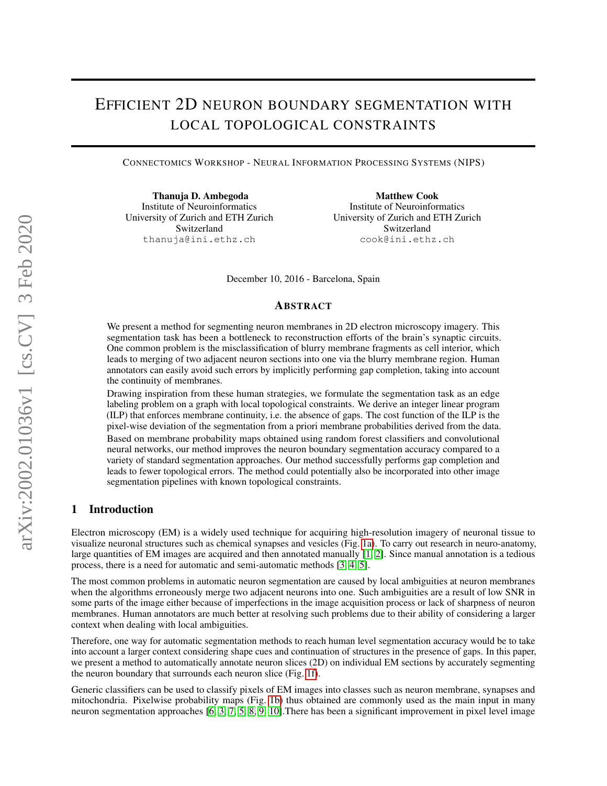# EFFICIENT 2D NEURON BOUNDARY SEGMENTATION WITH LOCAL TOPOLOGICAL CONSTRAINTS

CONNECTOMICS WORKSHOP - NEURAL INFORMATION PROCESSING SYSTEMS (NIPS)

Thanuja D. Ambegoda Institute of Neuroinformatics University of Zurich and ETH Zurich Switzerland thanuja@ini.ethz.ch

Matthew Cook Institute of Neuroinformatics University of Zurich and ETH Zurich Switzerland cook@ini.ethz.ch

December 10, 2016 - Barcelona, Spain

## ABSTRACT

We present a method for segmenting neuron membranes in 2D electron microscopy imagery. This segmentation task has been a bottleneck to reconstruction efforts of the brain's synaptic circuits. One common problem is the misclassification of blurry membrane fragments as cell interior, which leads to merging of two adjacent neuron sections into one via the blurry membrane region. Human annotators can easily avoid such errors by implicitly performing gap completion, taking into account the continuity of membranes.

Drawing inspiration from these human strategies, we formulate the segmentation task as an edge labeling problem on a graph with local topological constraints. We derive an integer linear program (ILP) that enforces membrane continuity, i.e. the absence of gaps. The cost function of the ILP is the pixel-wise deviation of the segmentation from a priori membrane probabilities derived from the data. Based on membrane probability maps obtained using random forest classifiers and convolutional neural networks, our method improves the neuron boundary segmentation accuracy compared to a variety of standard segmentation approaches. Our method successfully performs gap completion and leads to fewer topological errors. The method could potentially also be incorporated into other image segmentation pipelines with known topological constraints.

# 1 Introduction

Electron microscopy (EM) is a widely used technique for acquiring high-resolution imagery of neuronal tissue to visualize neuronal structures such as chemical synapses and vesicles (Fig. [1a\)](#page-1-0). To carry out research in neuro-anatomy, large quantities of EM images are acquired and then annotated manually [\[1,](#page-9-0) [2\]](#page-9-1). Since manual annotation is a tedious process, there is a need for automatic and semi-automatic methods [\[3,](#page-9-2) [4,](#page-9-3) [5\]](#page-9-4).

The most common problems in automatic neuron segmentation are caused by local ambiguities at neuron membranes when the algorithms erroneously merge two adjacent neurons into one. Such ambiguities are a result of low SNR in some parts of the image either because of imperfections in the image acquisition process or lack of sharpness of neuron membranes. Human annotators are much better at resolving such problems due to their ability of considering a larger context when dealing with local ambiguities.

Therefore, one way for automatic segmentation methods to reach human level segmentation accuracy would be to take into account a larger context considering shape cues and continuation of structures in the presence of gaps. In this paper, we present a method to automatically annotate neuron slices (2D) on individual EM sections by accurately segmenting the neuron boundary that surrounds each neuron slice (Fig. [1f\)](#page-1-1).

Generic classifiers can be used to classify pixels of EM images into classes such as neuron membrane, synapses and mitochondria. Pixelwise probability maps (Fig. [1b\)](#page-1-2) thus obtained are commonly used as the main input in many neuron segmentation approaches [\[6,](#page-9-5) [3,](#page-9-2) [7,](#page-10-0) [5,](#page-9-4) [8,](#page-10-1) [9,](#page-10-2) [10\]](#page-10-3).There has been a significant improvement in pixel level image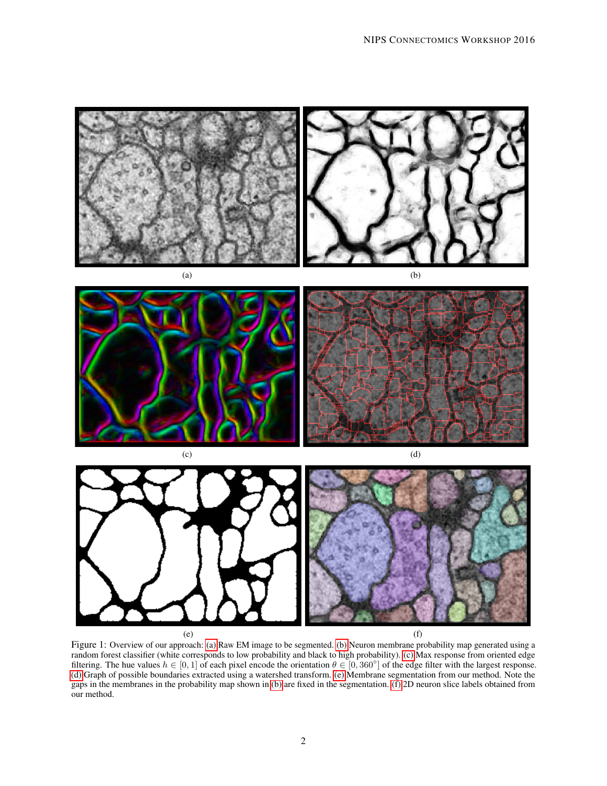<span id="page-1-6"></span><span id="page-1-2"></span><span id="page-1-0"></span>

<span id="page-1-5"></span><span id="page-1-4"></span><span id="page-1-3"></span><span id="page-1-1"></span>Figure 1: Overview of our approach: [\(a\)](#page-1-0) Raw EM image to be segmented. [\(b\)](#page-1-2) Neuron membrane probability map generated using a random forest classifier (white corresponds to low probability and black to high probability). [\(c\)](#page-1-3) Max response from oriented edge filtering. The hue values  $h \in [0, 1]$  of each pixel encode the orientation  $\theta \in [0, 360^{\circ}]$  of the edge filter with the largest response. [\(d\)](#page-1-4) Graph of possible boundaries extracted using a watershed transform. [\(e\)](#page-1-5) Membrane segmentation from our method. Note the gaps in the membranes in the probability map shown in [\(b\)](#page-1-2) are fixed in the segmentation. [\(f\)](#page-1-1) 2D neuron slice labels obtained from our method.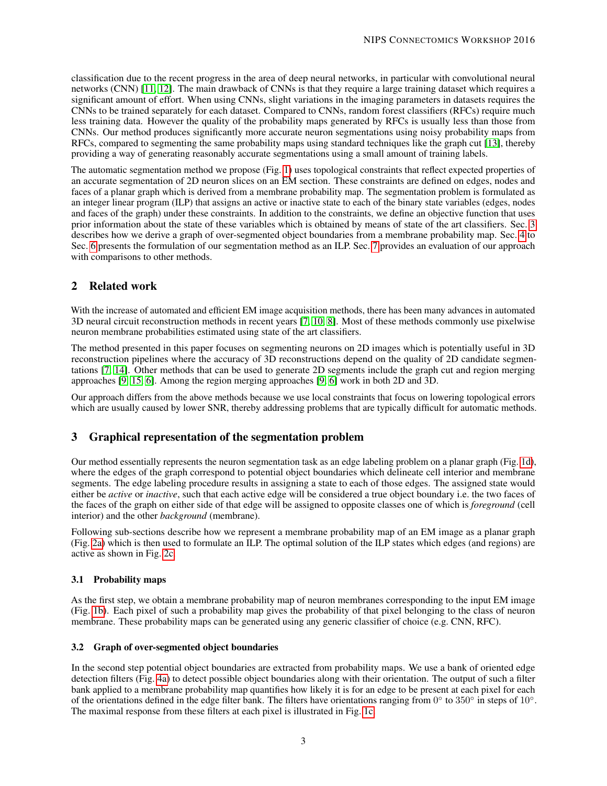classification due to the recent progress in the area of deep neural networks, in particular with convolutional neural networks (CNN) [\[11,](#page-11-0) [12\]](#page-11-1). The main drawback of CNNs is that they require a large training dataset which requires a significant amount of effort. When using CNNs, slight variations in the imaging parameters in datasets requires the CNNs to be trained separately for each dataset. Compared to CNNs, random forest classifiers (RFCs) require much less training data. However the quality of the probability maps generated by RFCs is usually less than those from CNNs. Our method produces significantly more accurate neuron segmentations using noisy probability maps from RFCs, compared to segmenting the same probability maps using standard techniques like the graph cut [\[13\]](#page-11-2), thereby providing a way of generating reasonably accurate segmentations using a small amount of training labels.

The automatic segmentation method we propose (Fig. [1\)](#page-1-6) uses topological constraints that reflect expected properties of an accurate segmentation of 2D neuron slices on an EM section. These constraints are defined on edges, nodes and faces of a planar graph which is derived from a membrane probability map. The segmentation problem is formulated as an integer linear program (ILP) that assigns an active or inactive state to each of the binary state variables (edges, nodes and faces of the graph) under these constraints. In addition to the constraints, we define an objective function that uses prior information about the state of these variables which is obtained by means of state of the art classifiers. Sec. [3](#page-2-0) describes how we derive a graph of over-segmented object boundaries from a membrane probability map. Sec. [4](#page-3-0) to Sec. [6](#page-6-0) presents the formulation of our segmentation method as an ILP. Sec. [7](#page-7-0) provides an evaluation of our approach with comparisons to other methods.

# 2 Related work

With the increase of automated and efficient EM image acquisition methods, there has been many advances in automated 3D neural circuit reconstruction methods in recent years [\[7,](#page-10-0) [10,](#page-10-3) [8\]](#page-10-1). Most of these methods commonly use pixelwise neuron membrane probabilities estimated using state of the art classifiers.

The method presented in this paper focuses on segmenting neurons on 2D images which is potentially useful in 3D reconstruction pipelines where the accuracy of 3D reconstructions depend on the quality of 2D candidate segmentations [\[7,](#page-10-0) [14\]](#page-11-3). Other methods that can be used to generate 2D segments include the graph cut and region merging approaches [\[9,](#page-10-2) [15,](#page-11-4) [6\]](#page-9-5). Among the region merging approaches [\[9,](#page-10-2) [6\]](#page-9-5) work in both 2D and 3D.

Our approach differs from the above methods because we use local constraints that focus on lowering topological errors which are usually caused by lower SNR, thereby addressing problems that are typically difficult for automatic methods.

# <span id="page-2-0"></span>3 Graphical representation of the segmentation problem

Our method essentially represents the neuron segmentation task as an edge labeling problem on a planar graph (Fig. [1d\)](#page-1-4), where the edges of the graph correspond to potential object boundaries which delineate cell interior and membrane segments. The edge labeling procedure results in assigning a state to each of those edges. The assigned state would either be *active* or *inactive*, such that each active edge will be considered a true object boundary i.e. the two faces of the faces of the graph on either side of that edge will be assigned to opposite classes one of which is *foreground* (cell interior) and the other *background* (membrane).

Following sub-sections describe how we represent a membrane probability map of an EM image as a planar graph (Fig. [2a\)](#page-3-1) which is then used to formulate an ILP. The optimal solution of the ILP states which edges (and regions) are active as shown in Fig. [2c.](#page-3-2)

## 3.1 Probability maps

As the first step, we obtain a membrane probability map of neuron membranes corresponding to the input EM image (Fig. [1b\)](#page-1-2). Each pixel of such a probability map gives the probability of that pixel belonging to the class of neuron membrane. These probability maps can be generated using any generic classifier of choice (e.g. CNN, RFC).

## <span id="page-2-1"></span>3.2 Graph of over-segmented object boundaries

In the second step potential object boundaries are extracted from probability maps. We use a bank of oriented edge detection filters (Fig. [4a\)](#page-5-0) to detect possible object boundaries along with their orientation. The output of such a filter bank applied to a membrane probability map quantifies how likely it is for an edge to be present at each pixel for each of the orientations defined in the edge filter bank. The filters have orientations ranging from  $0^\circ$  to  $350^\circ$  in steps of  $10^\circ$ . The maximal response from these filters at each pixel is illustrated in Fig. [1c.](#page-1-3)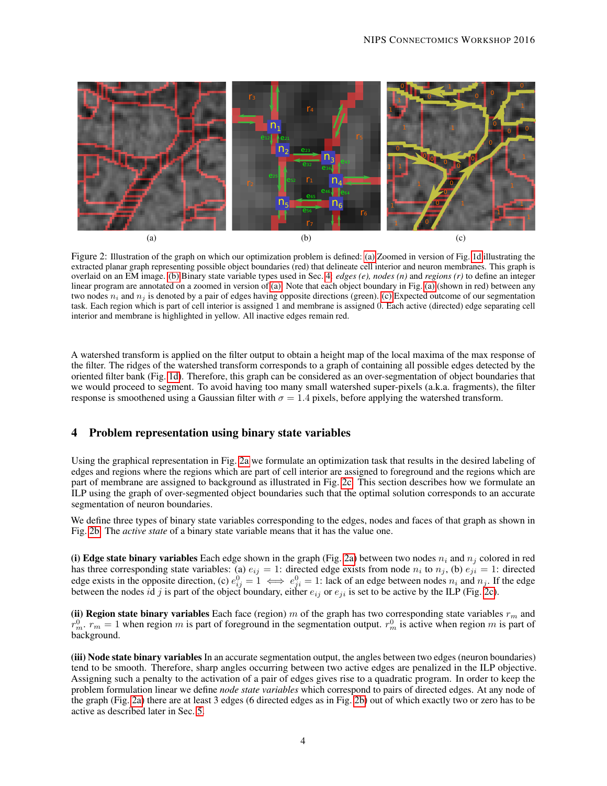

<span id="page-3-3"></span><span id="page-3-2"></span><span id="page-3-1"></span>Figure 2: Illustration of the graph on which our optimization problem is defined: [\(a\)](#page-3-1) Zoomed in version of Fig. [1d](#page-1-4) illustrating the extracted planar graph representing possible object boundaries (red) that delineate cell interior and neuron membranes. This graph is overlaid on an EM image. [\(b\)](#page-3-3) Binary state variable types used in Sec. [4:](#page-3-0) *edges (e), nodes (n)* and *regions (r)* to define an integer linear program are annotated on a zoomed in version of [\(a\).](#page-3-1) Note that each object boundary in Fig. [\(a\)](#page-3-1) (shown in red) between any two nodes  $n_i$  and  $n_j$  is denoted by a pair of edges having opposite directions (green). [\(c\)](#page-3-2) Expected outcome of our segmentation task. Each region which is part of cell interior is assigned 1 and membrane is assigned 0. Each active (directed) edge separating cell interior and membrane is highlighted in yellow. All inactive edges remain red.

A watershed transform is applied on the filter output to obtain a height map of the local maxima of the max response of the filter. The ridges of the watershed transform corresponds to a graph of containing all possible edges detected by the oriented filter bank (Fig. [1d\)](#page-1-4). Therefore, this graph can be considered as an over-segmentation of object boundaries that we would proceed to segment. To avoid having too many small watershed super-pixels (a.k.a. fragments), the filter response is smoothened using a Gaussian filter with  $\sigma = 1.4$  pixels, before applying the watershed transform.

# <span id="page-3-0"></span>4 Problem representation using binary state variables

Using the graphical representation in Fig. [2a](#page-3-1) we formulate an optimization task that results in the desired labeling of edges and regions where the regions which are part of cell interior are assigned to foreground and the regions which are part of membrane are assigned to background as illustrated in Fig. [2c.](#page-3-2) This section describes how we formulate an ILP using the graph of over-segmented object boundaries such that the optimal solution corresponds to an accurate segmentation of neuron boundaries.

We define three types of binary state variables corresponding to the edges, nodes and faces of that graph as shown in Fig. [2b.](#page-3-3) The *active state* of a binary state variable means that it has the value one.

(i) Edge state binary variables Each edge shown in the graph (Fig. [2a\)](#page-3-1) between two nodes  $n_i$  and  $n_j$  colored in red has three corresponding state variables: (a)  $e_{ij} = 1$ : directed edge exists from node  $n_i$  to  $n_j$ , (b)  $e_{ji} = 1$ : directed edge exists in the opposite direction, (c)  $e_{ij}^0 = 1 \iff e_{ji}^0 = 1$ : lack of an edge between nodes  $n_i$  and  $n_j$ . If the edge between the nodes id j is part of the object boundary, either  $e_{ij}$  or  $e_{ji}$  is set to be active by the ILP (Fig. [2c\)](#page-3-2).

(ii) Region state binary variables Each face (region) m of the graph has two corresponding state variables  $r_m$  and  $r_m^0$ .  $r_m = 1$  when region m is part of foreground in the segmentation output.  $r_m^0$  is active when region m is part of background.

(iii) Node state binary variables In an accurate segmentation output, the angles between two edges (neuron boundaries) tend to be smooth. Therefore, sharp angles occurring between two active edges are penalized in the ILP objective. Assigning such a penalty to the activation of a pair of edges gives rise to a quadratic program. In order to keep the problem formulation linear we define *node state variables* which correspond to pairs of directed edges. At any node of the graph (Fig. [2a\)](#page-3-1) there are at least 3 edges (6 directed edges as in Fig. [2b\)](#page-3-3) out of which exactly two or zero has to be active as described later in Sec. [5.](#page-4-0)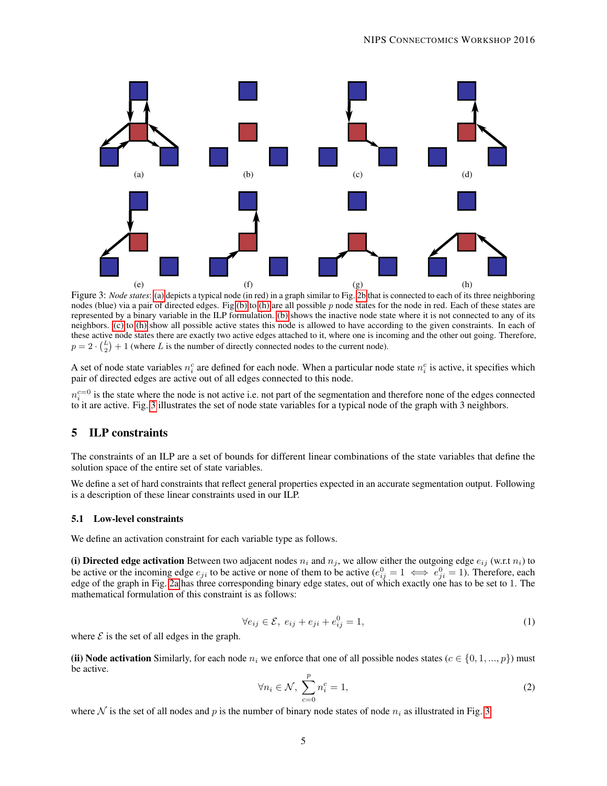<span id="page-4-5"></span><span id="page-4-4"></span><span id="page-4-2"></span><span id="page-4-1"></span>

<span id="page-4-3"></span>Figure 3: *Node states*: [\(a\)](#page-4-1) depicts a typical node (in red) in a graph similar to Fig. [2b](#page-3-3) that is connected to each of its three neighboring nodes (blue) via a pair of directed edges. Fig[.\(b\)](#page-4-2) to [\(h\)](#page-4-3) are all possible  $p$  node states for the node in red. Each of these states are represented by a binary variable in the ILP formulation. [\(b\)](#page-4-2) shows the inactive node state where it is not connected to any of its neighbors. [\(c\)](#page-4-4) to [\(h\)](#page-4-3) show all possible active states this node is allowed to have according to the given constraints. In each of these active node states there are exactly two active edges attached to it, where one is incoming and the other out going. Therefore,  $p = 2 \cdot {L \choose 2} + 1$  (where L is the number of directly connected nodes to the current node).

A set of node state variables  $n_i^c$  are defined for each node. When a particular node state  $n_i^c$  is active, it specifies which pair of directed edges are active out of all edges connected to this node.

 $n_i^{c=0}$  is the state where the node is not active i.e. not part of the segmentation and therefore none of the edges connected to it are active. Fig. [3](#page-4-5) illustrates the set of node state variables for a typical node of the graph with 3 neighbors.

# <span id="page-4-0"></span>5 ILP constraints

The constraints of an ILP are a set of bounds for different linear combinations of the state variables that define the solution space of the entire set of state variables.

We define a set of hard constraints that reflect general properties expected in an accurate segmentation output. Following is a description of these linear constraints used in our ILP.

#### 5.1 Low-level constraints

We define an activation constraint for each variable type as follows.

(i) Directed edge activation Between two adjacent nodes  $n_i$  and  $n_j$ , we allow either the outgoing edge  $e_{ij}$  (w.r.t  $n_i$ ) to be active or the incoming edge  $e_{ji}$  to be active or none of them to be active  $(e_{ij}^0 = 1 \iff e_{ji}^0 = 1)$ . Therefore, each edge of the graph in Fig. [2a](#page-3-1) has three corresponding binary edge states, out of which exactly one has to be set to 1. The mathematical formulation of this constraint is as follows:

$$
\forall e_{ij} \in \mathcal{E}, \ e_{ij} + e_{ji} + e_{ij}^0 = 1,\tag{1}
$$

where  $\mathcal E$  is the set of all edges in the graph.

(ii) Node activation Similarly, for each node  $n_i$  we enforce that one of all possible nodes states ( $c \in \{0, 1, ..., p\}$ ) must be active.

$$
\forall n_i \in \mathcal{N}, \ \sum_{c=0}^p n_i^c = 1,\tag{2}
$$

where N is the set of all nodes and p is the number of binary node states of node  $n_i$  as illustrated in Fig. [3.](#page-4-5)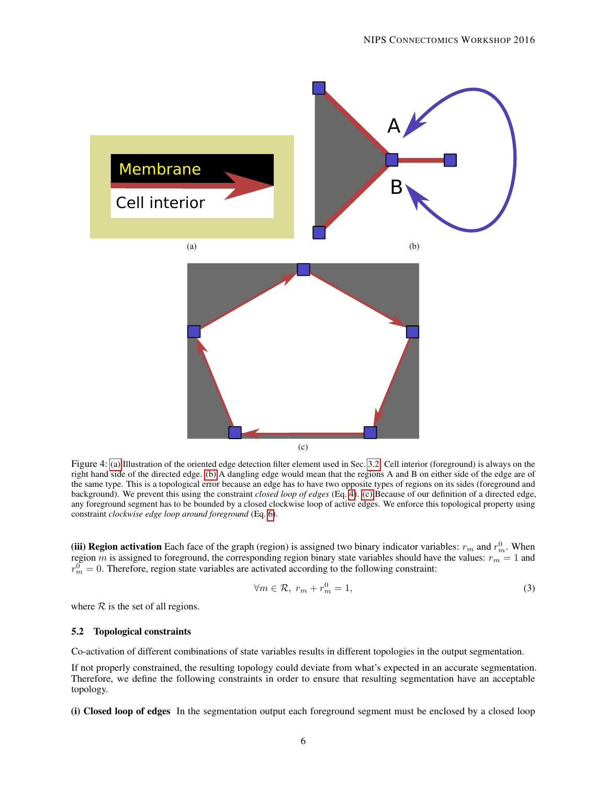<span id="page-5-1"></span><span id="page-5-0"></span>

<span id="page-5-2"></span>Figure 4: [\(a\)](#page-5-0) Illustration of the oriented edge detection filter element used in Sec. [3.2.](#page-2-1) Cell interior (foreground) is always on the right hand side of the directed edge. [\(b\)](#page-5-1) A dangling edge would mean that the regions A and B on either side of the edge are of the same type. This is a topological error because an edge has to have two opposite types of regions on its sides (foreground and background). We prevent this using the constraint *closed loop of edges* (Eq. [4\)](#page-6-1). [\(c\)](#page-5-2) Because of our definition of a directed edge, any foreground segment has to be bounded by a closed clockwise loop of active edges. We enforce this topological property using constraint *clockwise edge loop around foreground* (Eq. [6\)](#page-6-2).

(iii) Region activation Each face of the graph (region) is assigned two binary indicator variables:  $r_m$  and  $r_m^0$ . When region m is assigned to foreground, the corresponding region binary state variables should have the values:  $r_m = 1$  and  $r_m^0 = 0$ . Therefore, region state variables are activated according to the following constraint:

$$
\forall m \in \mathcal{R}, \ r_m + r_m^0 = 1,\tag{3}
$$

where  $R$  is the set of all regions.

#### 5.2 Topological constraints

Co-activation of different combinations of state variables results in different topologies in the output segmentation.

If not properly constrained, the resulting topology could deviate from what's expected in an accurate segmentation. Therefore, we define the following constraints in order to ensure that resulting segmentation have an acceptable topology.

(i) Closed loop of edges In the segmentation output each foreground segment must be enclosed by a closed loop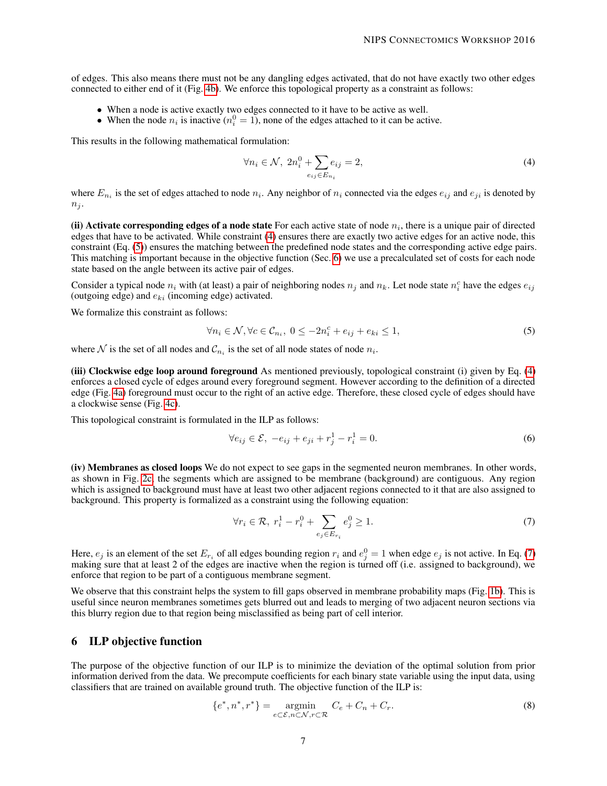of edges. This also means there must not be any dangling edges activated, that do not have exactly two other edges connected to either end of it (Fig. [4b\)](#page-5-1). We enforce this topological property as a constraint as follows:

- When a node is active exactly two edges connected to it have to be active as well.
- When the node  $n_i$  is inactive  $(n_i^0 = 1)$ , none of the edges attached to it can be active.

This results in the following mathematical formulation:

<span id="page-6-1"></span>
$$
\forall n_i \in \mathcal{N}, \ 2n_i^0 + \sum_{e_{ij} \in E_{n_i}} e_{ij} = 2,\tag{4}
$$

where  $E_{n_i}$  is the set of edges attached to node  $n_i$ . Any neighbor of  $n_i$  connected via the edges  $e_{ij}$  and  $e_{ji}$  is denoted by  $n_i$ .

(ii) Activate corresponding edges of a node state For each active state of node  $n_i$ , there is a unique pair of directed edges that have to be activated. While constraint [\(4\)](#page-6-1) ensures there are exactly two active edges for an active node, this constraint (Eq. [\(5\)](#page-6-3)) ensures the matching between the predefined node states and the corresponding active edge pairs. This matching is important because in the objective function (Sec. [6\)](#page-6-0) we use a precalculated set of costs for each node state based on the angle between its active pair of edges.

Consider a typical node  $n_i$  with (at least) a pair of neighboring nodes  $n_j$  and  $n_k$ . Let node state  $n_i^c$  have the edges  $e_{ij}$ (outgoing edge) and  $e_{ki}$  (incoming edge) activated.

We formalize this constraint as follows:

<span id="page-6-3"></span>
$$
\forall n_i \in \mathcal{N}, \forall c \in \mathcal{C}_{n_i}, \ 0 \le -2n_i^c + e_{ij} + e_{ki} \le 1,\tag{5}
$$

where  $N$  is the set of all nodes and  $\mathcal{C}_{n_i}$  is the set of all node states of node  $n_i$ .

(iii) Clockwise edge loop around foreground As mentioned previously, topological constraint (i) given by Eq. [\(4\)](#page-6-1) enforces a closed cycle of edges around every foreground segment. However according to the definition of a directed edge (Fig. [4a\)](#page-5-0) foreground must occur to the right of an active edge. Therefore, these closed cycle of edges should have a clockwise sense (Fig. [4c\)](#page-5-2).

This topological constraint is formulated in the ILP as follows:

<span id="page-6-2"></span>
$$
\forall e_{ij} \in \mathcal{E}, \ -e_{ij} + e_{ji} + r_j^1 - r_i^1 = 0. \tag{6}
$$

(iv) Membranes as closed loops We do not expect to see gaps in the segmented neuron membranes. In other words, as shown in Fig. [2c,](#page-3-2) the segments which are assigned to be membrane (background) are contiguous. Any region which is assigned to background must have at least two other adjacent regions connected to it that are also assigned to background. This property is formalized as a constraint using the following equation:

<span id="page-6-4"></span>
$$
\forall r_i \in \mathcal{R}, \ r_i^1 - r_i^0 + \sum_{e_j \in E_{r_i}} e_j^0 \ge 1. \tag{7}
$$

Here,  $e_j$  is an element of the set  $E_{r_i}$  of all edges bounding region  $r_i$  and  $e_j^0 = 1$  when edge  $e_j$  is not active. In Eq. [\(7\)](#page-6-4) making sure that at least 2 of the edges are inactive when the region is turned off (i.e. assigned to background), we enforce that region to be part of a contiguous membrane segment.

We observe that this constraint helps the system to fill gaps observed in membrane probability maps (Fig. [1b\)](#page-1-2). This is useful since neuron membranes sometimes gets blurred out and leads to merging of two adjacent neuron sections via this blurry region due to that region being misclassified as being part of cell interior.

# <span id="page-6-0"></span>6 ILP objective function

The purpose of the objective function of our ILP is to minimize the deviation of the optimal solution from prior information derived from the data. We precompute coefficients for each binary state variable using the input data, using classifiers that are trained on available ground truth. The objective function of the ILP is:

<span id="page-6-5"></span>
$$
\{e^*, n^*, r^*\} = \underset{e \subset \mathcal{E}, n \subset \mathcal{N}, r \subset \mathcal{R}}{\operatorname{argmin}} \quad C_e + C_n + C_r. \tag{8}
$$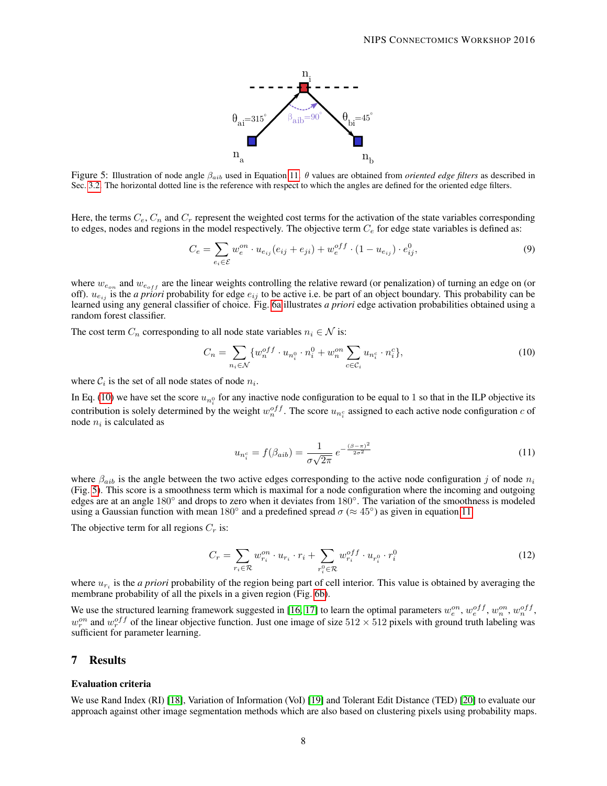

<span id="page-7-3"></span>Figure 5: Illustration of node angle βaib used in Equation [11.](#page-7-1) θ values are obtained from *oriented edge filters* as described in Sec. [3.2.](#page-2-1) The horizontal dotted line is the reference with respect to which the angles are defined for the oriented edge filters.

Here, the terms  $C_e$ ,  $C_n$  and  $C_r$  represent the weighted cost terms for the activation of the state variables corresponding to edges, nodes and regions in the model respectively. The objective term  $C_e$  for edge state variables is defined as:

$$
C_e = \sum_{e_i \in \mathcal{E}} w_e^{on} \cdot u_{e_{ij}}(e_{ij} + e_{ji}) + w_e^{off} \cdot (1 - u_{e_{ij}}) \cdot e_{ij}^0,
$$
\n(9)

where  $w_{e_{on}}$  and  $w_{e_{off}}$  are the linear weights controlling the relative reward (or penalization) of turning an edge on (or off).  $u_{e_{ij}}$  is the *a priori* probability for edge  $e_{ij}$  to be active i.e. be part of an object boundary. This probability can be learned using any general classifier of choice. Fig. [6a](#page-8-0) illustrates *a priori* edge activation probabilities obtained using a random forest classifier.

The cost term  $C_n$  corresponding to all node state variables  $n_i \in \mathcal{N}$  is:

<span id="page-7-2"></span>
$$
C_n = \sum_{n_i \in \mathcal{N}} \{ w_n^{off} \cdot u_{n_i^0} \cdot n_i^0 + w_n^{on} \sum_{c \in \mathcal{C}_i} u_{n_i^c} \cdot n_i^c \},\tag{10}
$$

where  $C_i$  is the set of all node states of node  $n_i$ .

<span id="page-7-1"></span>In Eq. [\(10\)](#page-7-2) we have set the score  $u_{n_i^0}$  for any inactive node configuration to be equal to 1 so that in the ILP objective its contribution is solely determined by the weight  $w_n^{off}$ . The score  $u_{n_i^c}$  assigned to each active node configuration c of node  $n_i$  is calculated as

$$
u_{n_i^c} = f(\beta_{aib}) = \frac{1}{\sigma\sqrt{2\pi}} e^{-\frac{(\beta - \pi)^2}{2\sigma^2}}
$$
 (11)

where  $\beta_{aib}$  is the angle between the two active edges corresponding to the active node configuration j of node  $n_i$ (Fig. [5\)](#page-7-3). This score is a smoothness term which is maximal for a node configuration where the incoming and outgoing edges are at an angle 180° and drops to zero when it deviates from 180°. The variation of the smoothness is modeled using a Gaussian function with mean 180 $^{\circ}$  and a predefined spread  $\sigma$  ( $\approx$  45 $^{\circ}$ ) as given in equation [11.](#page-7-1)

The objective term for all regions  $C_r$  is:

$$
C_r = \sum_{r_i \in \mathcal{R}} w_{r_i}^{on} \cdot u_{r_i} \cdot r_i + \sum_{r_i^0 \in \mathcal{R}} w_{r_i}^{off} \cdot u_{r_i^0} \cdot r_i^0
$$
\n
$$
\tag{12}
$$

where  $u_{r_i}$  is the *a priori* probability of the region being part of cell interior. This value is obtained by averaging the membrane probability of all the pixels in a given region (Fig. [6b\)](#page-8-1).

We use the structured learning framework suggested in [\[16,](#page-11-5) [17\]](#page-11-6) to learn the optimal parameters  $w_e^{on}$ ,  $w_e^{off}$ ,  $w_n^{on}$ ,  $w_n^{off}$ ,  $w_r^{on}$  and  $w_r^{off}$  of the linear objective function. Just one image of size  $512 \times 512$  pixels with ground truth labeling was sufficient for parameter learning.

### <span id="page-7-0"></span>7 Results

#### Evaluation criteria

We use Rand Index (RI) [\[18\]](#page-11-7), Variation of Information (VoI) [\[19\]](#page-11-8) and Tolerant Edit Distance (TED) [\[20\]](#page-11-9) to evaluate our approach against other image segmentation methods which are also based on clustering pixels using probability maps.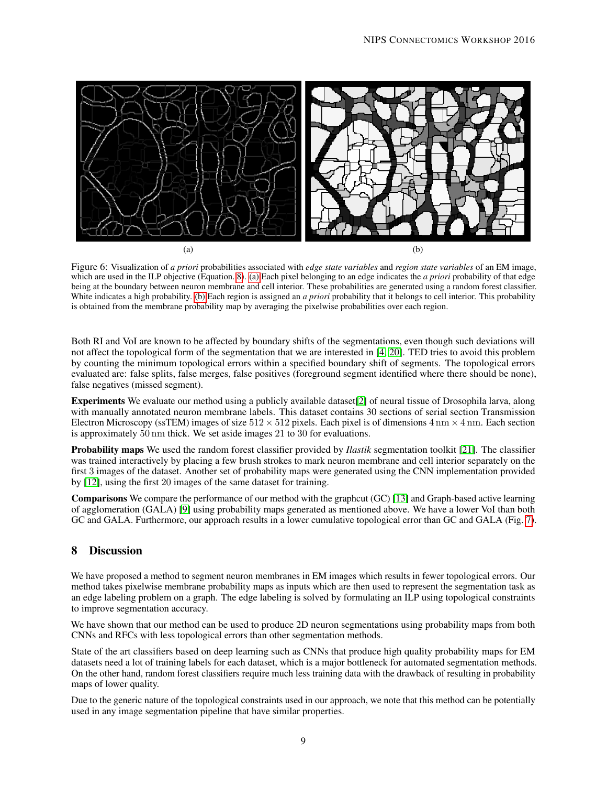<span id="page-8-0"></span>

<span id="page-8-1"></span>Figure 6: Visualization of *a priori* probabilities associated with *edge state variables* and *region state variables* of an EM image, which are used in the ILP objective (Equation. [8\)](#page-6-5). [\(a\)](#page-8-0) Each pixel belonging to an edge indicates the *a priori* probability of that edge being at the boundary between neuron membrane and cell interior. These probabilities are generated using a random forest classifier. White indicates a high probability. [\(b\)](#page-8-1) Each region is assigned an *a priori* probability that it belongs to cell interior. This probability is obtained from the membrane probability map by averaging the pixelwise probabilities over each region.

Both RI and VoI are known to be affected by boundary shifts of the segmentations, even though such deviations will not affect the topological form of the segmentation that we are interested in [\[4,](#page-9-3) [20\]](#page-11-9). TED tries to avoid this problem by counting the minimum topological errors within a specified boundary shift of segments. The topological errors evaluated are: false splits, false merges, false positives (foreground segment identified where there should be none), false negatives (missed segment).

Experiments We evaluate our method using a publicly available dataset[\[2\]](#page-9-1) of neural tissue of Drosophila larva, along with manually annotated neuron membrane labels. This dataset contains 30 sections of serial section Transmission Electron Microscopy (ssTEM) images of size  $512 \times 512$  pixels. Each pixel is of dimensions  $4 \text{ nm} \times 4 \text{ nm}$ . Each section is approximately 50 nm thick. We set aside images 21 to 30 for evaluations.

Probability maps We used the random forest classifier provided by *Ilastik* segmentation toolkit [\[21\]](#page-11-10). The classifier was trained interactively by placing a few brush strokes to mark neuron membrane and cell interior separately on the first 3 images of the dataset. Another set of probability maps were generated using the CNN implementation provided by [\[12\]](#page-11-1), using the first 20 images of the same dataset for training.

Comparisons We compare the performance of our method with the graphcut (GC) [\[13\]](#page-11-2) and Graph-based active learning of agglomeration (GALA) [\[9\]](#page-10-2) using probability maps generated as mentioned above. We have a lower VoI than both GC and GALA. Furthermore, our approach results in a lower cumulative topological error than GC and GALA (Fig. [7\)](#page-9-6).

# 8 Discussion

We have proposed a method to segment neuron membranes in EM images which results in fewer topological errors. Our method takes pixelwise membrane probability maps as inputs which are then used to represent the segmentation task as an edge labeling problem on a graph. The edge labeling is solved by formulating an ILP using topological constraints to improve segmentation accuracy.

We have shown that our method can be used to produce 2D neuron segmentations using probability maps from both CNNs and RFCs with less topological errors than other segmentation methods.

State of the art classifiers based on deep learning such as CNNs that produce high quality probability maps for EM datasets need a lot of training labels for each dataset, which is a major bottleneck for automated segmentation methods. On the other hand, random forest classifiers require much less training data with the drawback of resulting in probability maps of lower quality.

Due to the generic nature of the topological constraints used in our approach, we note that this method can be potentially used in any image segmentation pipeline that have similar properties.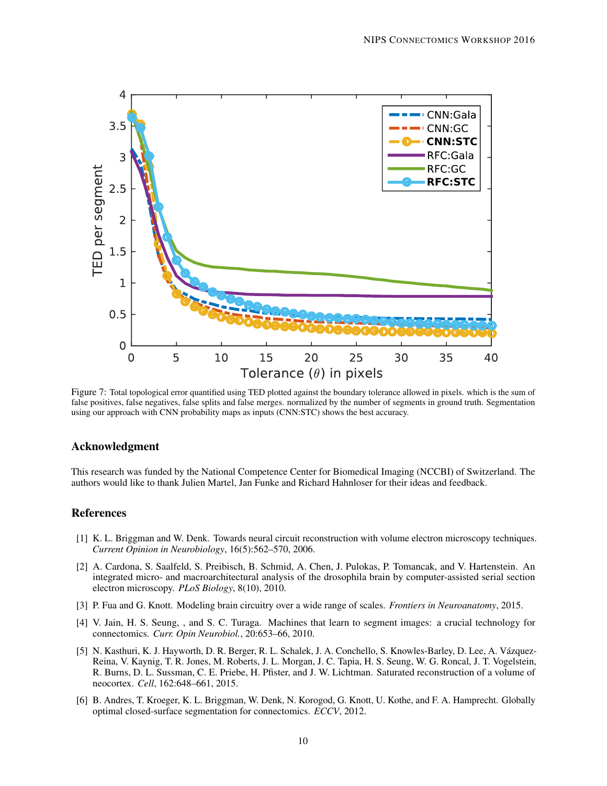<span id="page-9-6"></span>

Figure 7: Total topological error quantified using TED plotted against the boundary tolerance allowed in pixels. which is the sum of false positives, false negatives, false splits and false merges. normalized by the number of segments in ground truth. Segmentation using our approach with CNN probability maps as inputs (CNN:STC) shows the best accuracy.

### Acknowledgment

This research was funded by the National Competence Center for Biomedical Imaging (NCCBI) of Switzerland. The authors would like to thank Julien Martel, Jan Funke and Richard Hahnloser for their ideas and feedback.

### References

- <span id="page-9-0"></span>[1] K. L. Briggman and W. Denk. Towards neural circuit reconstruction with volume electron microscopy techniques. *Current Opinion in Neurobiology*, 16(5):562–570, 2006.
- <span id="page-9-1"></span>[2] A. Cardona, S. Saalfeld, S. Preibisch, B. Schmid, A. Chen, J. Pulokas, P. Tomancak, and V. Hartenstein. An integrated micro- and macroarchitectural analysis of the drosophila brain by computer-assisted serial section electron microscopy. *PLoS Biology*, 8(10), 2010.
- <span id="page-9-2"></span>[3] P. Fua and G. Knott. Modeling brain circuitry over a wide range of scales. *Frontiers in Neuroanatomy*, 2015.
- <span id="page-9-3"></span>[4] V. Jain, H. S. Seung, , and S. C. Turaga. Machines that learn to segment images: a crucial technology for connectomics. *Curr. Opin Neurobiol.*, 20:653–66, 2010.
- <span id="page-9-4"></span>[5] N. Kasthuri, K. J. Hayworth, D. R. Berger, R. L. Schalek, J. A. Conchello, S. Knowles-Barley, D. Lee, A. Vázquez-Reina, V. Kaynig, T. R. Jones, M. Roberts, J. L. Morgan, J. C. Tapia, H. S. Seung, W. G. Roncal, J. T. Vogelstein, R. Burns, D. L. Sussman, C. E. Priebe, H. Pfister, and J. W. Lichtman. Saturated reconstruction of a volume of neocortex. *Cell*, 162:648–661, 2015.
- <span id="page-9-5"></span>[6] B. Andres, T. Kroeger, K. L. Briggman, W. Denk, N. Korogod, G. Knott, U. Kothe, and F. A. Hamprecht. Globally optimal closed-surface segmentation for connectomics. *ECCV*, 2012.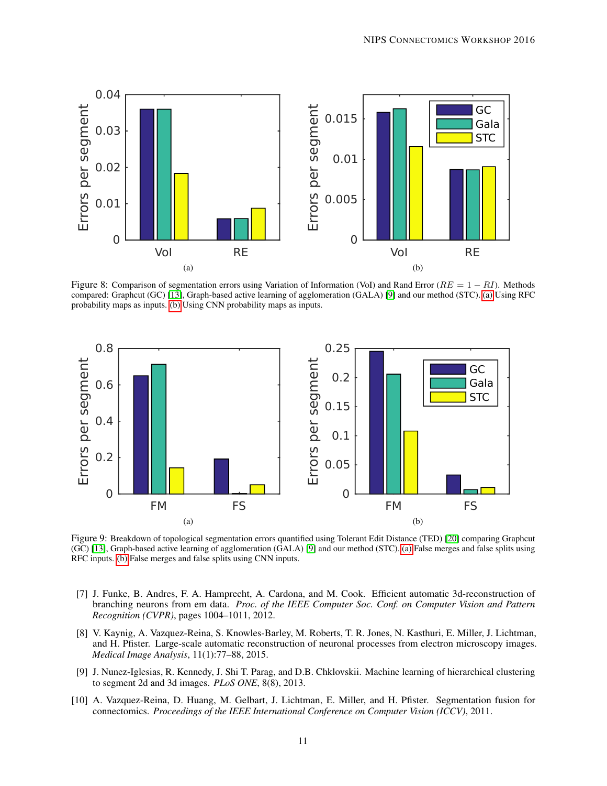<span id="page-10-4"></span>

<span id="page-10-5"></span>Figure 8: Comparison of segmentation errors using Variation of Information (VoI) and Rand Error ( $RE = 1 - RI$ ). Methods compared: Graphcut (GC) [\[13\]](#page-11-2), Graph-based active learning of agglomeration (GALA) [\[9\]](#page-10-2) and our method (STC). [\(a\)](#page-10-4) Using RFC probability maps as inputs. [\(b\)](#page-10-5) Using CNN probability maps as inputs.

<span id="page-10-6"></span>

<span id="page-10-7"></span>Figure 9: Breakdown of topological segmentation errors quantified using Tolerant Edit Distance (TED) [\[20\]](#page-11-9) comparing Graphcut (GC) [\[13\]](#page-11-2), Graph-based active learning of agglomeration (GALA) [\[9\]](#page-10-2) and our method (STC). [\(a\)](#page-10-6) False merges and false splits using RFC inputs. [\(b\)](#page-10-7) False merges and false splits using CNN inputs.

- <span id="page-10-0"></span>[7] J. Funke, B. Andres, F. A. Hamprecht, A. Cardona, and M. Cook. Efficient automatic 3d-reconstruction of branching neurons from em data. *Proc. of the IEEE Computer Soc. Conf. on Computer Vision and Pattern Recognition (CVPR)*, pages 1004–1011, 2012.
- <span id="page-10-1"></span>[8] V. Kaynig, A. Vazquez-Reina, S. Knowles-Barley, M. Roberts, T. R. Jones, N. Kasthuri, E. Miller, J. Lichtman, and H. Pfister. Large-scale automatic reconstruction of neuronal processes from electron microscopy images. *Medical Image Analysis*, 11(1):77–88, 2015.
- <span id="page-10-2"></span>[9] J. Nunez-Iglesias, R. Kennedy, J. Shi T. Parag, and D.B. Chklovskii. Machine learning of hierarchical clustering to segment 2d and 3d images. *PLoS ONE*, 8(8), 2013.
- <span id="page-10-3"></span>[10] A. Vazquez-Reina, D. Huang, M. Gelbart, J. Lichtman, E. Miller, and H. Pfister. Segmentation fusion for connectomics. *Proceedings of the IEEE International Conference on Computer Vision (ICCV)*, 2011.